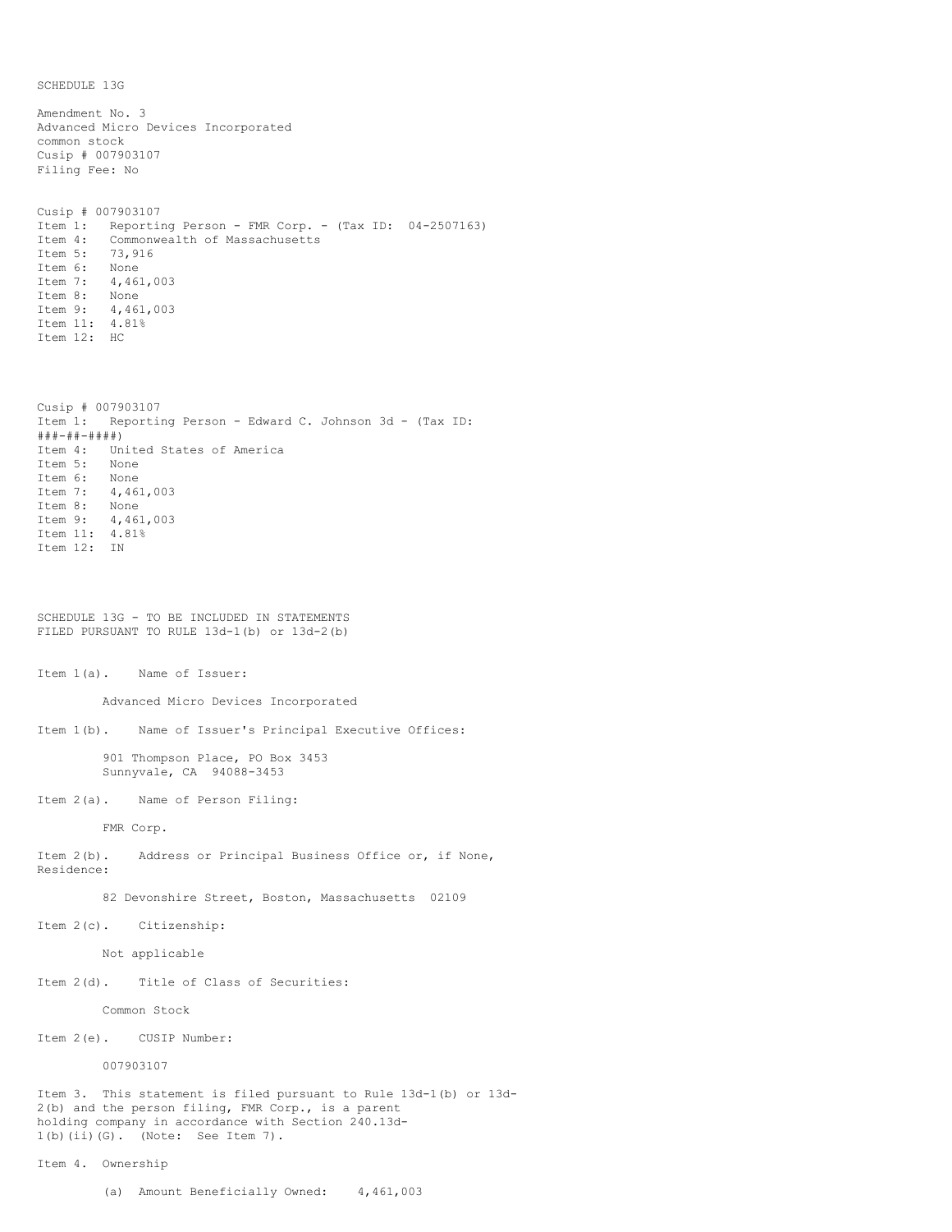SCHEDULE 13G

Amendment No. 3 Advanced Micro Devices Incorporated common stock Cusip # 007903107 Filing Fee: No Cusip # 007903107 Item 1: Reporting Person - FMR Corp. - (Tax ID: 04-2507163)<br>Item 4: Commonwealth of Massachusetts Commonwealth of Massachusetts<br>73,916 Item 5: Item 6: None Item 7: 4,461,003 Item 8: None Item 9: 4,461,003 Item 11: 4.81% Item 12: HC Cusip # 007903107 Item 1: Reporting Person - Edward C. Johnson 3d - (Tax ID: ###-##-####) Item 4: United States of America Item 5: None Item 6: None Item 7: 4,461,003 Item 8: None Item 9: 4,461,003 Item 11: 4.81% Item 12: IN SCHEDULE 13G - TO BE INCLUDED IN STATEMENTS FILED PURSUANT TO RULE 13d-1(b) or 13d-2(b) Item 1(a). Name of Issuer: Advanced Micro Devices Incorporated Item 1(b). Name of Issuer's Principal Executive Offices: 901 Thompson Place, PO Box 3453 Sunnyvale, CA 94088-3453 Item 2(a). Name of Person Filing: FMR Corp. Item 2(b). Address or Principal Business Office or, if None, Residence: 82 Devonshire Street, Boston, Massachusetts 02109 Item 2(c). Citizenship: Not applicable Item 2(d). Title of Class of Securities: Common Stock Item 2(e). CUSIP Number: 007903107 Item 3. This statement is filed pursuant to Rule 13d-1(b) or 13d-2(b) and the person filing, FMR Corp., is a parent holding company in accordance with Section 240.13d-1(b)(ii)(G). (Note: See Item 7). Item 4. Ownership

(a) Amount Beneficially Owned: 4,461,003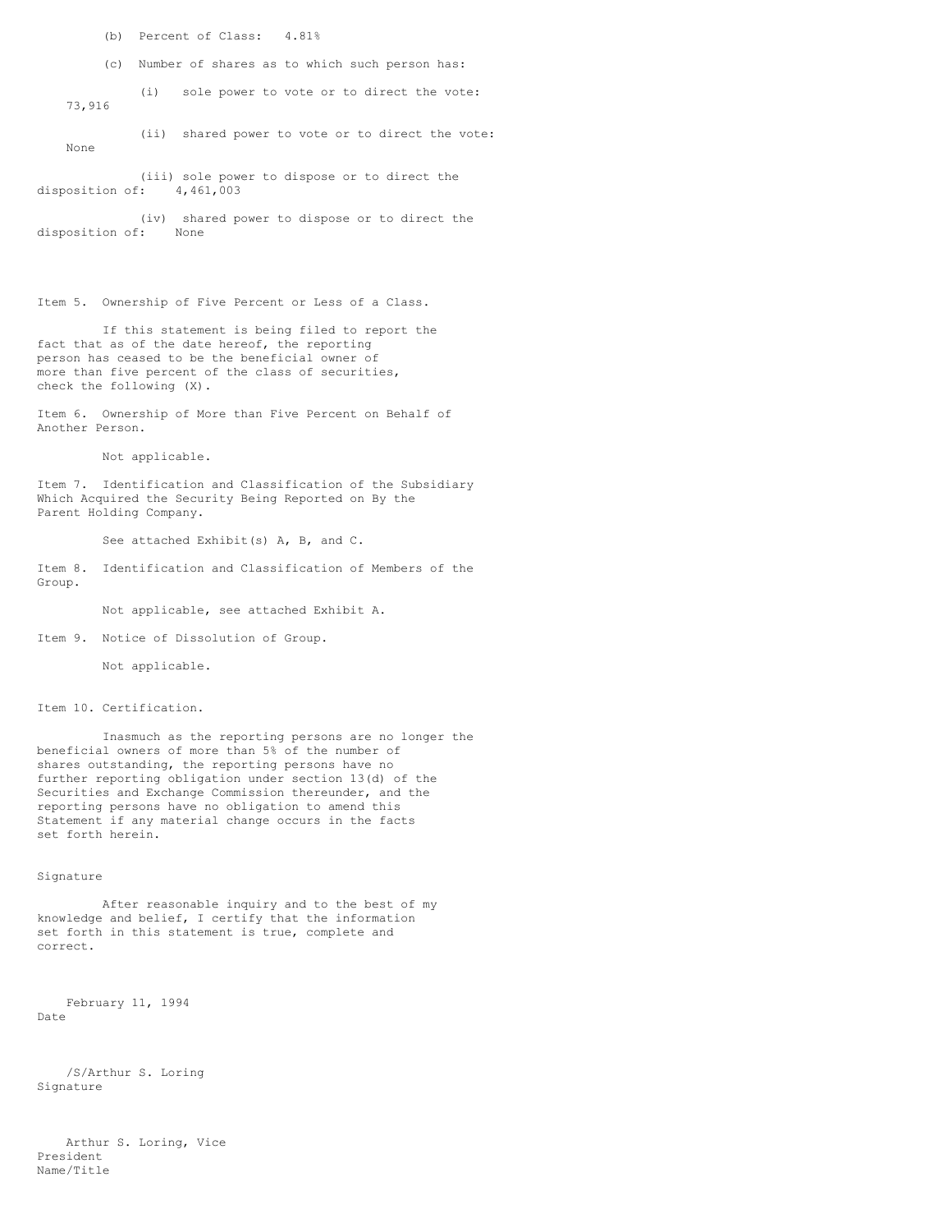(b) Percent of Class: 4.81%

(c) Number of shares as to which such person has:

 (i) sole power to vote or to direct the vote: 73,916

 (ii) shared power to vote or to direct the vote: None

 (iii) sole power to dispose or to direct the disposition of: 4,461,003

 (iv) shared power to dispose or to direct the disposition of: None

Item 5. Ownership of Five Percent or Less of a Class.

 If this statement is being filed to report the fact that as of the date hereof, the reporting person has ceased to be the beneficial owner of more than five percent of the class of securities, check the following (X).

Item 6. Ownership of More than Five Percent on Behalf of Another Person.

Not applicable.

Item 7. Identification and Classification of the Subsidiary Which Acquired the Security Being Reported on By the Parent Holding Company.

See attached Exhibit(s) A, B, and C.

Item 8. Identification and Classification of Members of the Group.

Not applicable, see attached Exhibit A.

Item 9. Notice of Dissolution of Group.

Not applicable.

Item 10. Certification.

 Inasmuch as the reporting persons are no longer the beneficial owners of more than 5% of the number of shares outstanding, the reporting persons have no further reporting obligation under section 13(d) of the Securities and Exchange Commission thereunder, and the reporting persons have no obligation to amend this Statement if any material change occurs in the facts set forth herein.

## Signature

 After reasonable inquiry and to the best of my knowledge and belief, I certify that the information set forth in this statement is true, complete and correct.

 February 11, 1994 Date

 /S/Arthur S. Loring Signature

 Arthur S. Loring, Vice President Name/Title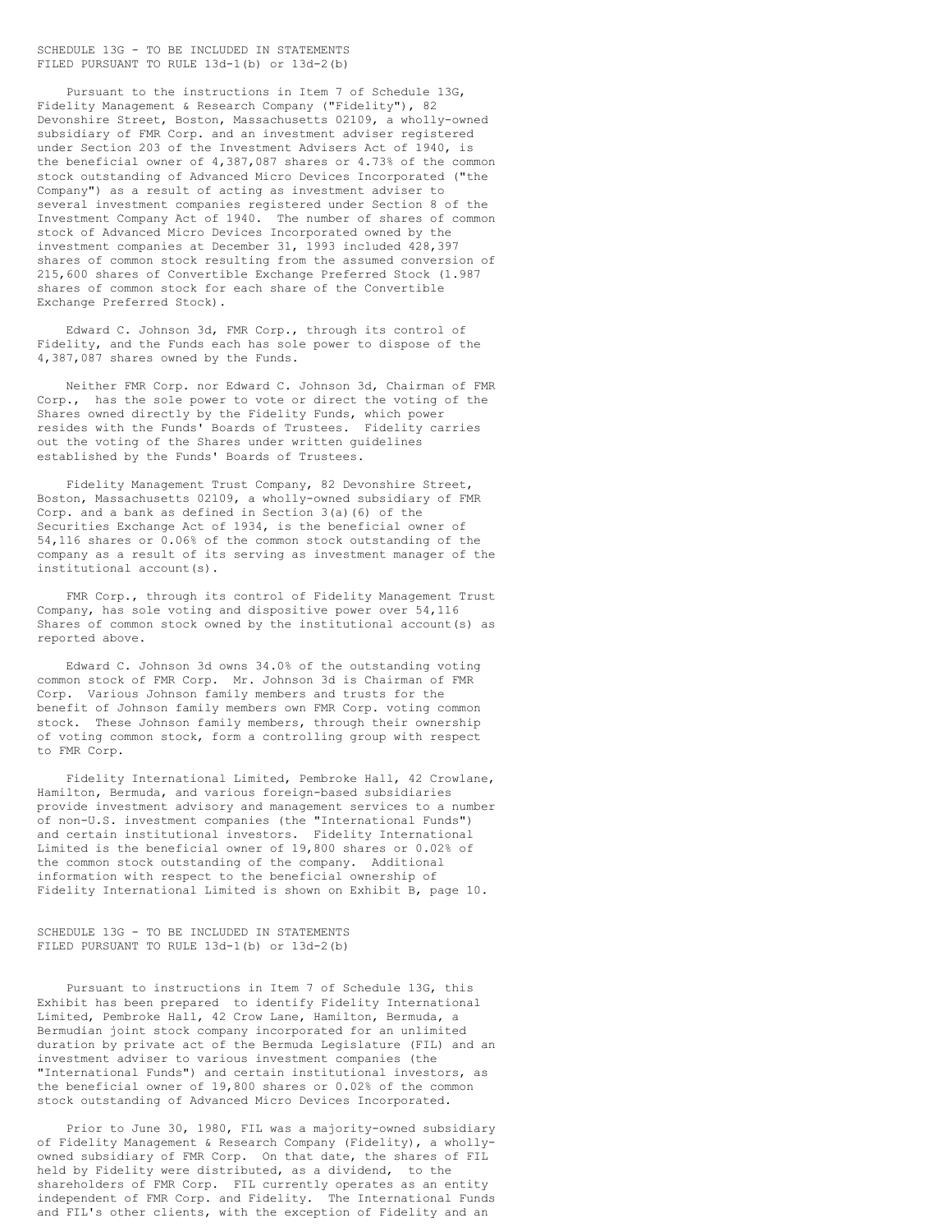## SCHEDULE 13G - TO BE INCLUDED IN STATEMENTS FILED PURSUANT TO RULE 13d-1(b) or 13d-2(b)

 Pursuant to the instructions in Item 7 of Schedule 13G, Fidelity Management & Research Company ("Fidelity"), 82 Devonshire Street, Boston, Massachusetts 02109, a wholly-owned subsidiary of FMR Corp. and an investment adviser registered under Section 203 of the Investment Advisers Act of 1940, is the beneficial owner of 4,387,087 shares or 4.73% of the common stock outstanding of Advanced Micro Devices Incorporated ("the Company") as a result of acting as investment adviser to several investment companies registered under Section 8 of the Investment Company Act of 1940. The number of shares of common stock of Advanced Micro Devices Incorporated owned by the investment companies at December 31, 1993 included 428,397 shares of common stock resulting from the assumed conversion of 215,600 shares of Convertible Exchange Preferred Stock (1.987 shares of common stock for each share of the Convertible Exchange Preferred Stock).

 Edward C. Johnson 3d, FMR Corp., through its control of Fidelity, and the Funds each has sole power to dispose of the 4,387,087 shares owned by the Funds.

 Neither FMR Corp. nor Edward C. Johnson 3d, Chairman of FMR Corp., has the sole power to vote or direct the voting of the Shares owned directly by the Fidelity Funds, which power resides with the Funds' Boards of Trustees. Fidelity carries out the voting of the Shares under written guidelines established by the Funds' Boards of Trustees.

 Fidelity Management Trust Company, 82 Devonshire Street, Boston, Massachusetts 02109, a wholly-owned subsidiary of FMR Corp. and a bank as defined in Section 3(a)(6) of the Securities Exchange Act of 1934, is the beneficial owner of 54,116 shares or 0.06% of the common stock outstanding of the company as a result of its serving as investment manager of the institutional account(s).

 FMR Corp., through its control of Fidelity Management Trust Company, has sole voting and dispositive power over 54,116 Shares of common stock owned by the institutional account(s) as reported above.

 Edward C. Johnson 3d owns 34.0% of the outstanding voting common stock of FMR Corp. Mr. Johnson 3d is Chairman of FMR Corp. Various Johnson family members and trusts for the benefit of Johnson family members own FMR Corp. voting common stock. These Johnson family members, through their ownership of voting common stock, form a controlling group with respect to FMR Corp.

 Fidelity International Limited, Pembroke Hall, 42 Crowlane, Hamilton, Bermuda, and various foreign-based subsidiaries provide investment advisory and management services to a number of non-U.S. investment companies (the "International Funds") and certain institutional investors. Fidelity International Limited is the beneficial owner of 19,800 shares or 0.02% of the common stock outstanding of the company. Additional information with respect to the beneficial ownership of Fidelity International Limited is shown on Exhibit B, page 10.

SCHEDULE 13G - TO BE INCLUDED IN STATEMENTS FILED PURSUANT TO RULE 13d-1(b) or 13d-2(b)

 Pursuant to instructions in Item 7 of Schedule 13G, this Exhibit has been prepared to identify Fidelity International Limited, Pembroke Hall, 42 Crow Lane, Hamilton, Bermuda, a Bermudian joint stock company incorporated for an unlimited duration by private act of the Bermuda Legislature (FIL) and an investment adviser to various investment companies (the "International Funds") and certain institutional investors, as the beneficial owner of 19,800 shares or 0.02% of the common stock outstanding of Advanced Micro Devices Incorporated.

 Prior to June 30, 1980, FIL was a majority-owned subsidiary of Fidelity Management & Research Company (Fidelity), a whollyowned subsidiary of FMR Corp. On that date, the shares of FIL held by Fidelity were distributed, as a dividend, to the shareholders of FMR Corp. FIL currently operates as an entity independent of FMR Corp. and Fidelity. The International Funds and FIL's other clients, with the exception of Fidelity and an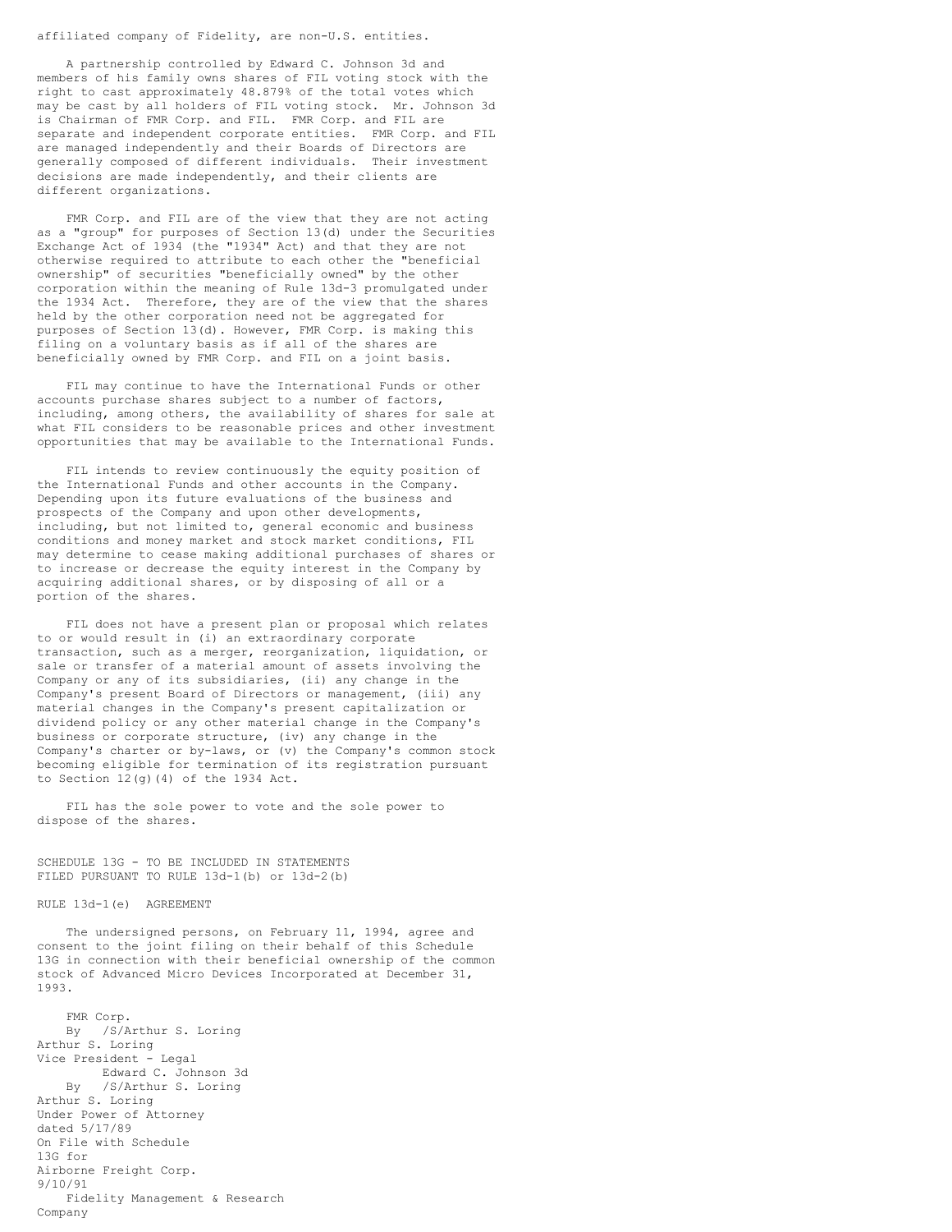## affiliated company of Fidelity, are non-U.S. entities.

 A partnership controlled by Edward C. Johnson 3d and members of his family owns shares of FIL voting stock with the right to cast approximately 48.879% of the total votes which may be cast by all holders of FIL voting stock. Mr. Johnson 3d is Chairman of FMR Corp. and FIL. FMR Corp. and FIL are separate and independent corporate entities. FMR Corp. and FIL are managed independently and their Boards of Directors are generally composed of different individuals. Their investment decisions are made independently, and their clients are different organizations.

 FMR Corp. and FIL are of the view that they are not acting as a "group" for purposes of Section 13(d) under the Securities Exchange Act of 1934 (the "1934" Act) and that they are not otherwise required to attribute to each other the "beneficial ownership" of securities "beneficially owned" by the other corporation within the meaning of Rule 13d-3 promulgated under the 1934 Act. Therefore, they are of the view that the shares held by the other corporation need not be aggregated for purposes of Section 13(d). However, FMR Corp. is making this filing on a voluntary basis as if all of the shares are beneficially owned by FMR Corp. and FIL on a joint basis.

 FIL may continue to have the International Funds or other accounts purchase shares subject to a number of factors, including, among others, the availability of shares for sale at what FIL considers to be reasonable prices and other investment opportunities that may be available to the International Funds.

 FIL intends to review continuously the equity position of the International Funds and other accounts in the Company. Depending upon its future evaluations of the business and prospects of the Company and upon other developments, including, but not limited to, general economic and business conditions and money market and stock market conditions, FIL may determine to cease making additional purchases of shares or to increase or decrease the equity interest in the Company by acquiring additional shares, or by disposing of all or a portion of the shares.

 FIL does not have a present plan or proposal which relates to or would result in (i) an extraordinary corporate transaction, such as a merger, reorganization, liquidation, or sale or transfer of a material amount of assets involving the Company or any of its subsidiaries, (ii) any change in the Company's present Board of Directors or management, (iii) any material changes in the Company's present capitalization or dividend policy or any other material change in the Company's business or corporate structure, (iv) any change in the Company's charter or by-laws, or (v) the Company's common stock becoming eligible for termination of its registration pursuant to Section  $12(g)$ (4) of the 1934 Act.

 FIL has the sole power to vote and the sole power to dispose of the shares.

SCHEDULE 13G - TO BE INCLUDED IN STATEMENTS FILED PURSUANT TO RULE 13d-1(b) or 13d-2(b)

## RULE 13d-1(e) AGREEMENT

 The undersigned persons, on February 11, 1994, agree and consent to the joint filing on their behalf of this Schedule 13G in connection with their beneficial ownership of the common stock of Advanced Micro Devices Incorporated at December 31, 1993.

 FMR Corp. By /S/Arthur S. Loring Arthur S. Loring Vice President - Legal Edward C. Johnson 3d By /S/Arthur S. Loring Arthur S. Loring Under Power of Attorney dated 5/17/89 On File with Schedule 13G for Airborne Freight Corp. 9/10/91 Fidelity Management & Research Company